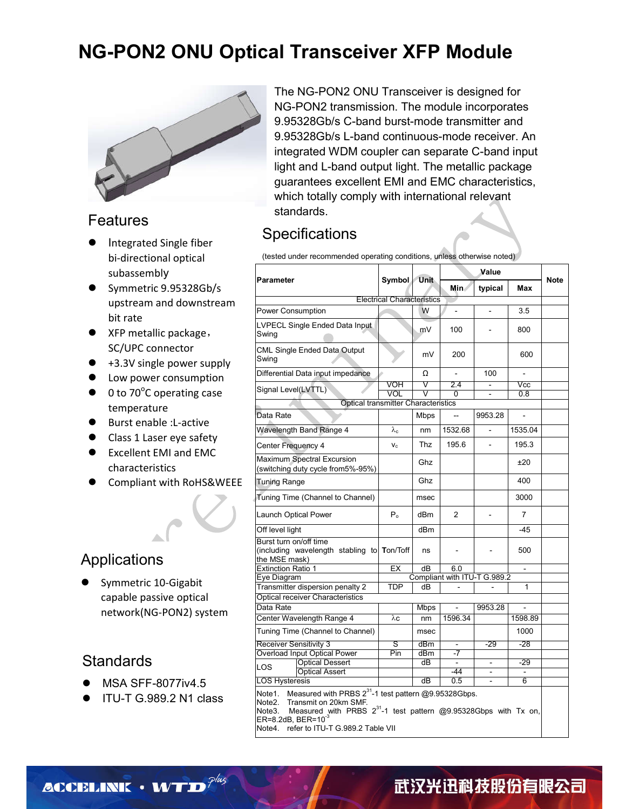### **NG-PON2 ONU Optical Transceiver XFP Module**



#### Features

- Integrated Single fiber bi-directional optical subassembly
- Symmetric 9.95328Gb/s upstream and downstream bit rate
- XFP metallic package, SC/UPC connector
- +3.3V single power supply
- **•** Low power consumption
- $\bullet$  0 to 70°C operating case temperature
- Burst enable : L-active
- Class 1 Laser eye safety
- Excellent EMI and EMC characteristics
- Compliant with RoHS&WEEE

#### Applications

 Symmetric 10-Gigabit capable passive optical network(NG-PON2) system

#### **Standards**

- MSA SFF-8077iv4.5
- ITU-T G.989.2 N1 class

The NG-PON2 ONU Transceiver is designed for NG-PON2 transmission. The module incorporates 9.95328Gb/s C-band burst-mode transmitter and 9.95328Gb/s L-band continuous-mode receiver. An integrated WDM coupler can separate C-band input light and L-band output light. The metallic package guarantees excellent EMI and EMC characteristics, which totally comply with international relevant standards.

#### **Specifications**

(tested under recommended operating conditions, unless otherwise noted)

| <b>Parameter</b>                                                                                                                                                                                                                                                         |                   | Symbol<br><b>Unit</b> |                              | Value                    |                |      |  |  |  |
|--------------------------------------------------------------------------------------------------------------------------------------------------------------------------------------------------------------------------------------------------------------------------|-------------------|-----------------------|------------------------------|--------------------------|----------------|------|--|--|--|
|                                                                                                                                                                                                                                                                          |                   |                       | <b>Min</b>                   | typical                  | Max            | Note |  |  |  |
| <b>Electrical Characteristics</b>                                                                                                                                                                                                                                        |                   |                       |                              |                          |                |      |  |  |  |
| Power Consumption                                                                                                                                                                                                                                                        |                   | W                     | ÷                            | ÷,                       | 3.5            |      |  |  |  |
| LVPECL Single Ended Data Input<br>Swing                                                                                                                                                                                                                                  |                   | m٧                    | 100                          |                          | 800            |      |  |  |  |
| CML Single Ended Data Output<br>Swing                                                                                                                                                                                                                                    |                   | mV                    | 200                          |                          | 600            |      |  |  |  |
| Differential Data input impedance                                                                                                                                                                                                                                        |                   | Ω                     |                              | 100                      |                |      |  |  |  |
| Signal Level(LVTTL)                                                                                                                                                                                                                                                      | VOH<br>VOL        | V                     | 2.4<br>U                     | ä,                       | Vcc<br>0.8     |      |  |  |  |
| <b>Optical transmitter Characteristics</b>                                                                                                                                                                                                                               |                   |                       |                              |                          |                |      |  |  |  |
| Data Rate                                                                                                                                                                                                                                                                |                   | Mbps                  | --                           | 9953.28                  |                |      |  |  |  |
| Wavelength Band Range 4                                                                                                                                                                                                                                                  | $\lambda_{\rm c}$ | nm                    | 1532.68                      |                          | 1535.04        |      |  |  |  |
| Center Frequency 4                                                                                                                                                                                                                                                       | V <sub>c</sub>    | Thz                   | 195.6                        |                          | 195.3          |      |  |  |  |
| <b>Maximum Spectral Excursion</b><br>(switching duty cycle from5%-95%)                                                                                                                                                                                                   |                   | Ghz                   |                              |                          | ±20            |      |  |  |  |
| <b>Tuning Range</b>                                                                                                                                                                                                                                                      |                   | Ghz                   |                              |                          | 400            |      |  |  |  |
| Tuning Time (Channel to Channel)                                                                                                                                                                                                                                         |                   | msec                  |                              |                          | 3000           |      |  |  |  |
| Launch Optical Power                                                                                                                                                                                                                                                     | $P_{o}$           | dBm                   | $\overline{2}$               |                          | $\overline{7}$ |      |  |  |  |
| Off level light                                                                                                                                                                                                                                                          |                   | dBm                   |                              |                          | $-45$          |      |  |  |  |
| Burst turn on/off time<br>(including wavelength stabling to Ton/Toff<br>the MSE mask)                                                                                                                                                                                    |                   | ns                    |                              |                          | 500            |      |  |  |  |
| <b>Extinction Ratio 1</b>                                                                                                                                                                                                                                                | EX                | dB                    | 6.0                          |                          | ÷,             |      |  |  |  |
| Eye Diagram                                                                                                                                                                                                                                                              |                   |                       | Compliant with ITU-T G.989.2 |                          |                |      |  |  |  |
| Transmitter dispersion penalty 2<br><b>Optical receiver Characteristics</b>                                                                                                                                                                                              | <b>TDP</b>        | dB                    |                              |                          | 1              |      |  |  |  |
| Data Rate                                                                                                                                                                                                                                                                |                   | <b>Mbps</b>           |                              | 9953.28                  |                |      |  |  |  |
| Center Wavelength Range 4                                                                                                                                                                                                                                                | λc                | nm                    | 1596.34                      |                          | 1598.89        |      |  |  |  |
| Tuning Time (Channel to Channel)                                                                                                                                                                                                                                         |                   | msec                  |                              |                          | 1000           |      |  |  |  |
| <b>Receiver Sensitivity 3</b>                                                                                                                                                                                                                                            | S                 | dBm                   |                              | -29                      | -28            |      |  |  |  |
| Overload Input Optical Power                                                                                                                                                                                                                                             | Pin               | dBm                   | -7                           |                          |                |      |  |  |  |
| <b>Optical Dessert</b><br>LOS                                                                                                                                                                                                                                            |                   | dB                    |                              |                          | $-29$          |      |  |  |  |
| <b>Optical Assert</b>                                                                                                                                                                                                                                                    |                   | dB                    | $-44$<br>0.5                 | $\overline{\phantom{a}}$ | 6              |      |  |  |  |
| <b>LOS Hysteresis</b>                                                                                                                                                                                                                                                    |                   |                       |                              |                          |                |      |  |  |  |
| Measured with PRBS 2 <sup>31</sup> -1 test pattern @9.95328Gbps.<br>Note1.<br>Note2.<br>Transmit on 20km SMF.<br>Note3. Measured with PRBS $2^{31}$ -1 test pattern @9.95328Gbps with Tx on,<br>ER=8.2dB, BER=10 <sup>-3</sup><br>Note4 refer to ITLI-TG 989 2 Table VII |                   |                       |                              |                          |                |      |  |  |  |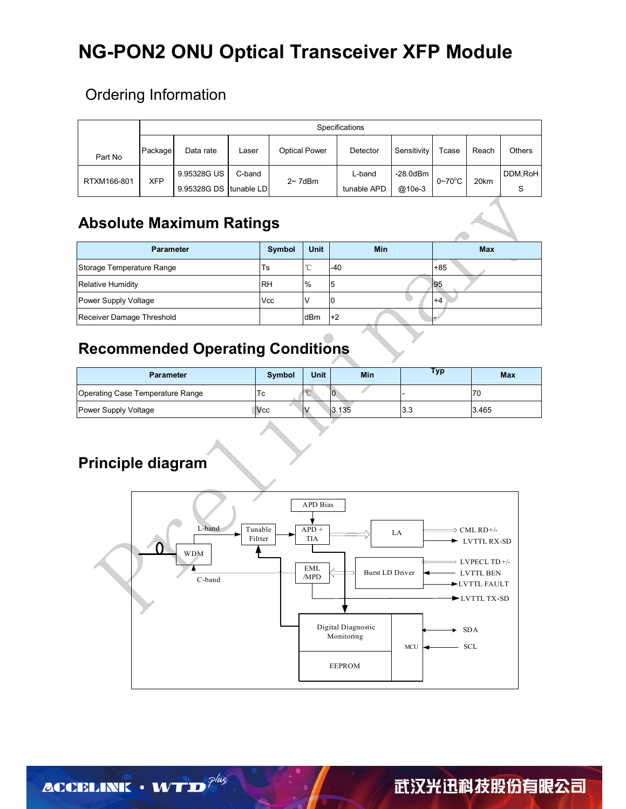## **NG-PON2 ONU Optical Transceiver XFP Module**

#### Ordering Information

|             | Specifications |                                       |        |                      |                       |                       |                    |       |               |
|-------------|----------------|---------------------------------------|--------|----------------------|-----------------------|-----------------------|--------------------|-------|---------------|
| Part No     | Package        | Data rate                             | ∟aser  | <b>Optical Power</b> | Detector              | Sensitivity           | Tcase              | Reach | Others        |
| RTXM166-801 | <b>XFP</b>     | 9.95328G US<br>9.95328G DS tunable LD | C-band | $2~7$ dBm            | L-band<br>tunable APD | $-28.0$ dBm<br>@10e-3 | $0\neg 70^\circ C$ | 20km  | DDM, RoH<br>S |

#### **Absolute Maximum Ratings**

| <b>Parameter</b>          | Symbol    | <b>Unit</b>    | Min  | <b>Max</b> |
|---------------------------|-----------|----------------|------|------------|
| Storage Temperature Range | Ts        | $\sim$<br>◡    | -40  | $+85$      |
| Relative Humidity         | <b>RH</b> | $\frac{10}{6}$ | 5    | 195        |
| Power Supply Voltage      | Vcc       |                | 0    | $+4$       |
| Receiver Damage Threshold |           | dBm            | $+2$ |            |

### **Recommended Operating Conditions**

| <b>Parameter</b>                 | <b>Symbol</b> | <b>Unit</b> | Min   | Typ | <b>Max</b> |
|----------------------------------|---------------|-------------|-------|-----|------------|
| Operating Case Temperature Range | 1 C           |             | 10    |     | 70         |
| Power Supply Voltage             | <b>Vcc</b>    | I٨.         | 3.135 | 3.3 | 3.465      |

### **Principle diagram**